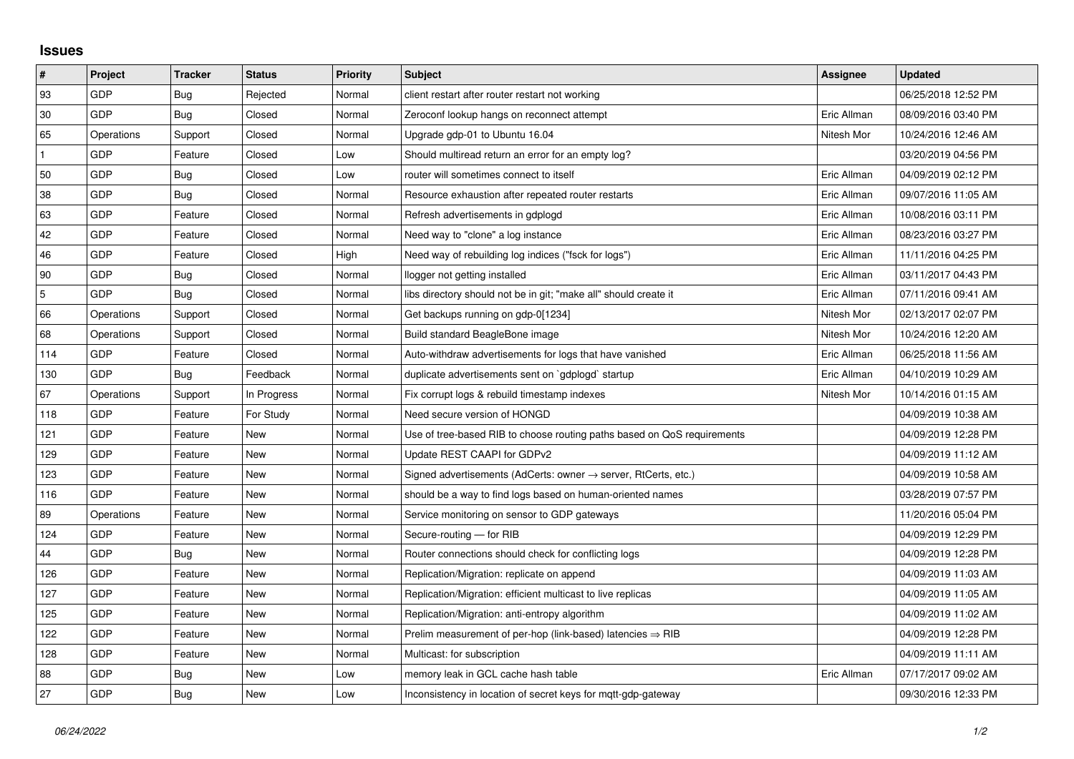## **Issues**

| $\vert$ #      | Project    | <b>Tracker</b> | <b>Status</b> | <b>Priority</b> | <b>Subject</b>                                                             | <b>Assignee</b> | <b>Updated</b>      |
|----------------|------------|----------------|---------------|-----------------|----------------------------------------------------------------------------|-----------------|---------------------|
| 93             | GDP        | Bug            | Rejected      | Normal          | client restart after router restart not working                            |                 | 06/25/2018 12:52 PM |
| 30             | GDP        | Bug            | Closed        | Normal          | Zeroconf lookup hangs on reconnect attempt                                 | Eric Allman     | 08/09/2016 03:40 PM |
| 65             | Operations | Support        | Closed        | Normal          | Upgrade gdp-01 to Ubuntu 16.04                                             | Nitesh Mor      | 10/24/2016 12:46 AM |
| $\mathbf{1}$   | GDP        | Feature        | Closed        | Low             | Should multiread return an error for an empty log?                         |                 | 03/20/2019 04:56 PM |
| 50             | GDP        | Bug            | Closed        | Low             | router will sometimes connect to itself                                    | Eric Allman     | 04/09/2019 02:12 PM |
| 38             | GDP        | <b>Bug</b>     | Closed        | Normal          | Resource exhaustion after repeated router restarts                         | Eric Allman     | 09/07/2016 11:05 AM |
| 63             | GDP        | Feature        | Closed        | Normal          | Refresh advertisements in gdplogd                                          | Eric Allman     | 10/08/2016 03:11 PM |
| 42             | GDP        | Feature        | Closed        | Normal          | Need way to "clone" a log instance                                         | Eric Allman     | 08/23/2016 03:27 PM |
| 46             | GDP        | Feature        | Closed        | High            | Need way of rebuilding log indices ("fsck for logs")                       | Eric Allman     | 11/11/2016 04:25 PM |
| 90             | GDP        | Bug            | Closed        | Normal          | llogger not getting installed                                              | Eric Allman     | 03/11/2017 04:43 PM |
| $\overline{5}$ | GDP        | <b>Bug</b>     | Closed        | Normal          | libs directory should not be in git; "make all" should create it           | Eric Allman     | 07/11/2016 09:41 AM |
| 66             | Operations | Support        | Closed        | Normal          | Get backups running on gdp-0[1234]                                         | Nitesh Mor      | 02/13/2017 02:07 PM |
| 68             | Operations | Support        | Closed        | Normal          | Build standard BeagleBone image                                            | Nitesh Mor      | 10/24/2016 12:20 AM |
| 114            | GDP        | Feature        | Closed        | Normal          | Auto-withdraw advertisements for logs that have vanished                   | Eric Allman     | 06/25/2018 11:56 AM |
| 130            | GDP        | Bug            | Feedback      | Normal          | duplicate advertisements sent on `gdplogd` startup                         | Eric Allman     | 04/10/2019 10:29 AM |
| 67             | Operations | Support        | In Progress   | Normal          | Fix corrupt logs & rebuild timestamp indexes                               | Nitesh Mor      | 10/14/2016 01:15 AM |
| 118            | GDP        | Feature        | For Study     | Normal          | Need secure version of HONGD                                               |                 | 04/09/2019 10:38 AM |
| 121            | GDP        | Feature        | <b>New</b>    | Normal          | Use of tree-based RIB to choose routing paths based on QoS requirements    |                 | 04/09/2019 12:28 PM |
| 129            | GDP        | Feature        | New           | Normal          | Update REST CAAPI for GDPv2                                                |                 | 04/09/2019 11:12 AM |
| 123            | GDP        | Feature        | New           | Normal          | Signed advertisements (AdCerts: owner $\rightarrow$ server, RtCerts, etc.) |                 | 04/09/2019 10:58 AM |
| 116            | GDP        | Feature        | New           | Normal          | should be a way to find logs based on human-oriented names                 |                 | 03/28/2019 07:57 PM |
| 89             | Operations | Feature        | New           | Normal          | Service monitoring on sensor to GDP gateways                               |                 | 11/20/2016 05:04 PM |
| 124            | GDP        | Feature        | <b>New</b>    | Normal          | Secure-routing - for RIB                                                   |                 | 04/09/2019 12:29 PM |
| 44             | GDP        | Bug            | New           | Normal          | Router connections should check for conflicting logs                       |                 | 04/09/2019 12:28 PM |
| 126            | GDP        | Feature        | New           | Normal          | Replication/Migration: replicate on append                                 |                 | 04/09/2019 11:03 AM |
| 127            | GDP        | Feature        | New           | Normal          | Replication/Migration: efficient multicast to live replicas                |                 | 04/09/2019 11:05 AM |
| 125            | GDP        | Feature        | New           | Normal          | Replication/Migration: anti-entropy algorithm                              |                 | 04/09/2019 11:02 AM |
| 122            | GDP        | Feature        | New           | Normal          | Prelim measurement of per-hop (link-based) latencies $\Rightarrow$ RIB     |                 | 04/09/2019 12:28 PM |
| 128            | GDP        | Feature        | New           | Normal          | Multicast: for subscription                                                |                 | 04/09/2019 11:11 AM |
| 88             | GDP        | Bug            | New           | Low             | memory leak in GCL cache hash table                                        | Eric Allman     | 07/17/2017 09:02 AM |
| 27             | GDP        | <b>Bug</b>     | New           | Low             | Inconsistency in location of secret keys for mgtt-gdp-gateway              |                 | 09/30/2016 12:33 PM |